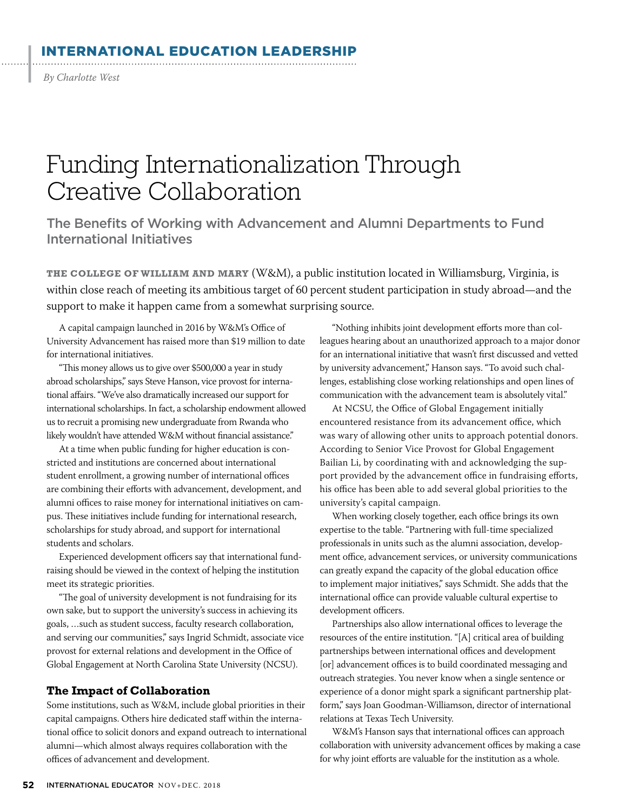## ERNATIONAL EDUCATION LEADERSHIP

*By Charlotte West*

|

# Funding Internationalization Through Creative Collaboration

The Benefits of Working with Advancement and Alumni Departments to Fund International Initiatives

**THE COLLEGE OF WILLIAM AND MARY** (W&M), a public institution located in Williamsburg, Virginia, is within close reach of meeting its ambitious target of 60 percent student participation in study abroad—and the support to make it happen came from a somewhat surprising source.

A capital campaign launched in 2016 by W&M's Office of University Advancement has raised more than \$19 million to date for international initiatives.

"This money allows us to give over \$500,000 a year in study abroad scholarships," says Steve Hanson, vice provost for international affairs. "We've also dramatically increased our support for international scholarships. In fact, a scholarship endowment allowed us to recruit a promising new undergraduate from Rwanda who likely wouldn't have attended W&M without financial assistance."

At a time when public funding for higher education is constricted and institutions are concerned about international student enrollment, a growing number of international offices are combining their efforts with advancement, development, and alumni offices to raise money for international initiatives on campus. These initiatives include funding for international research, scholarships for study abroad, and support for international students and scholars.

Experienced development officers say that international fundraising should be viewed in the context of helping the institution meet its strategic priorities.

"The goal of university development is not fundraising for its own sake, but to support the university's success in achieving its goals, …such as student success, faculty research collaboration, and serving our communities," says Ingrid Schmidt, associate vice provost for external relations and development in the Office of Global Engagement at North Carolina State University (NCSU).

#### **The Impact of Collaboration**

Some institutions, such as W&M, include global priorities in their capital campaigns. Others hire dedicated staff within the international office to solicit donors and expand outreach to international alumni—which almost always requires collaboration with the offices of advancement and development.

"Nothing inhibits joint development efforts more than colleagues hearing about an unauthorized approach to a major donor for an international initiative that wasn't first discussed and vetted by university advancement," Hanson says. "To avoid such challenges, establishing close working relationships and open lines of communication with the advancement team is absolutely vital."

At NCSU, the Office of Global Engagement initially encountered resistance from its advancement office, which was wary of allowing other units to approach potential donors. According to Senior Vice Provost for Global Engagement Bailian Li, by coordinating with and acknowledging the support provided by the advancement office in fundraising efforts, his office has been able to add several global priorities to the university's capital campaign.

When working closely together, each office brings its own expertise to the table. "Partnering with full-time specialized professionals in units such as the alumni association, development office, advancement services, or university communications can greatly expand the capacity of the global education office to implement major initiatives," says Schmidt. She adds that the international office can provide valuable cultural expertise to development officers.

Partnerships also allow international offices to leverage the resources of the entire institution. "[A] critical area of building partnerships between international offices and development [or] advancement offices is to build coordinated messaging and outreach strategies. You never know when a single sentence or experience of a donor might spark a significant partnership platform," says Joan Goodman-Williamson, director of international relations at Texas Tech University.

W&M's Hanson says that international offices can approach collaboration with university advancement offices by making a case for why joint efforts are valuable for the institution as a whole.